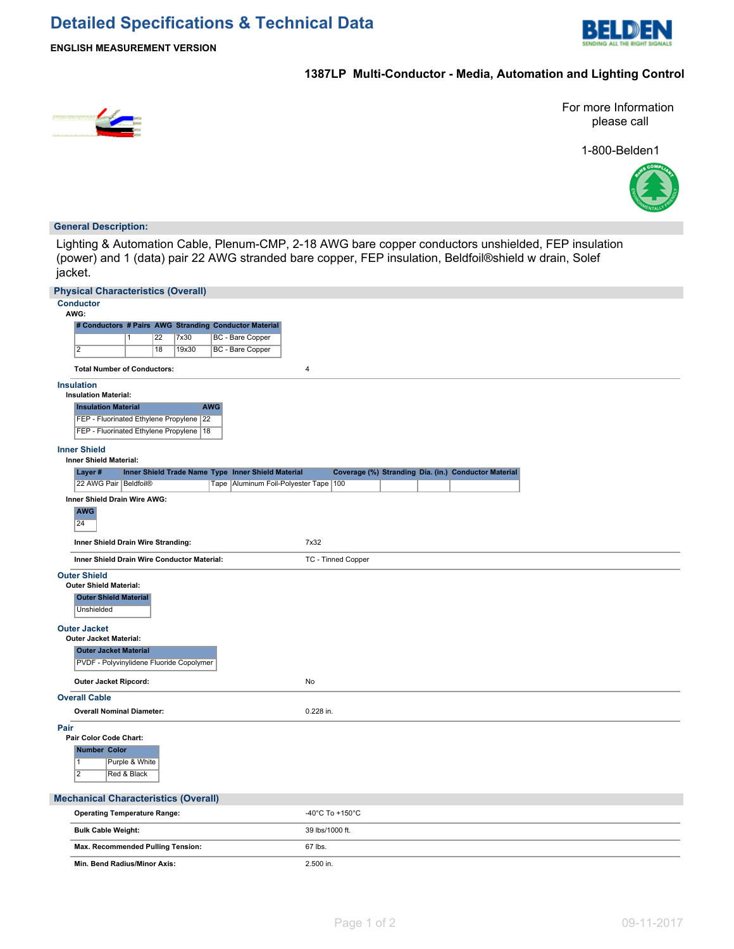

**ENGLISH MEASUREMENT VERSION**

## **1387LP Multi-Conductor - Media, Automation and Lighting Control**



For more Information please call

1-800-Belden1



#### **General Description:**

Lighting & Automation Cable, Plenum-CMP, 2-18 AWG bare copper conductors unshielded, FEP insulation (power) and 1 (data) pair 22 AWG stranded bare copper, FEP insulation, Beldfoil®shield w drain, Solef jacket.

|      | <b>Physical Characteristics (Overall)</b>                             |                 |       |            |                                                       |                 |                    |  |                                                      |  |
|------|-----------------------------------------------------------------------|-----------------|-------|------------|-------------------------------------------------------|-----------------|--------------------|--|------------------------------------------------------|--|
|      | <b>Conductor</b><br>AWG:                                              |                 |       |            |                                                       |                 |                    |  |                                                      |  |
|      |                                                                       |                 |       |            | # Conductors # Pairs AWG Stranding Conductor Material |                 |                    |  |                                                      |  |
|      |                                                                       | $\overline{22}$ | 7x30  |            | <b>BC</b> - Bare Copper                               |                 |                    |  |                                                      |  |
|      | $\overline{2}$                                                        | 18              | 19x30 |            | BC - Bare Copper                                      |                 |                    |  |                                                      |  |
|      | <b>Total Number of Conductors:</b>                                    |                 |       |            |                                                       | $\overline{4}$  |                    |  |                                                      |  |
|      | <b>Insulation</b>                                                     |                 |       |            |                                                       |                 |                    |  |                                                      |  |
|      | <b>Insulation Material:</b>                                           |                 |       |            |                                                       |                 |                    |  |                                                      |  |
|      | <b>Insulation Material</b><br>FEP - Fluorinated Ethylene Propylene 22 |                 |       | <b>AWG</b> |                                                       |                 |                    |  |                                                      |  |
|      | FEP - Fluorinated Ethylene Propylene   18                             |                 |       |            |                                                       |                 |                    |  |                                                      |  |
|      | <b>Inner Shield</b><br><b>Inner Shield Material:</b>                  |                 |       |            |                                                       |                 |                    |  |                                                      |  |
|      | Layer#                                                                |                 |       |            | Inner Shield Trade Name Type Inner Shield Material    |                 |                    |  | Coverage (%) Stranding Dia. (in.) Conductor Material |  |
|      | 22 AWG Pair Beldfoil®                                                 |                 |       |            | Tape   Aluminum Foil-Polyester Tape   100             |                 |                    |  |                                                      |  |
|      | Inner Shield Drain Wire AWG:<br><b>AWG</b><br>24                      |                 |       |            |                                                       |                 |                    |  |                                                      |  |
|      | Inner Shield Drain Wire Stranding:                                    |                 |       |            |                                                       | 7x32            |                    |  |                                                      |  |
|      | Inner Shield Drain Wire Conductor Material:                           |                 |       |            |                                                       |                 | TC - Tinned Copper |  |                                                      |  |
|      | <b>Outer Shield</b>                                                   |                 |       |            |                                                       |                 |                    |  |                                                      |  |
|      | <b>Outer Shield Material:</b>                                         |                 |       |            |                                                       |                 |                    |  |                                                      |  |
|      | <b>Outer Shield Material</b><br>Unshielded                            |                 |       |            |                                                       |                 |                    |  |                                                      |  |
|      |                                                                       |                 |       |            |                                                       |                 |                    |  |                                                      |  |
|      | <b>Outer Jacket</b><br>Outer Jacket Material:                         |                 |       |            |                                                       |                 |                    |  |                                                      |  |
|      | <b>Outer Jacket Material</b>                                          |                 |       |            |                                                       |                 |                    |  |                                                      |  |
|      | PVDF - Polyvinylidene Fluoride Copolymer                              |                 |       |            |                                                       |                 |                    |  |                                                      |  |
|      | Outer Jacket Ripcord:                                                 |                 |       |            |                                                       | No              |                    |  |                                                      |  |
|      | <b>Overall Cable</b>                                                  |                 |       |            |                                                       |                 |                    |  |                                                      |  |
|      | <b>Overall Nominal Diameter:</b>                                      |                 |       |            |                                                       | 0.228 in.       |                    |  |                                                      |  |
| Pair | Pair Color Code Chart:                                                |                 |       |            |                                                       |                 |                    |  |                                                      |  |
|      | <b>Number Color</b>                                                   |                 |       |            |                                                       |                 |                    |  |                                                      |  |
|      | $\overline{1}$                                                        | Purple & White  |       |            |                                                       |                 |                    |  |                                                      |  |
|      | $\overline{2}$                                                        | Red & Black     |       |            |                                                       |                 |                    |  |                                                      |  |
|      |                                                                       |                 |       |            |                                                       |                 |                    |  |                                                      |  |
|      | <b>Mechanical Characteristics (Overall)</b>                           |                 |       |            |                                                       |                 |                    |  |                                                      |  |
|      | <b>Operating Temperature Range:</b>                                   |                 |       |            |                                                       |                 | -40°C To +150°C    |  |                                                      |  |
|      | <b>Bulk Cable Weight:</b>                                             |                 |       |            |                                                       | 39 lbs/1000 ft. |                    |  |                                                      |  |
|      | Max. Recommended Pulling Tension:                                     |                 |       |            |                                                       | 67 lbs.         |                    |  |                                                      |  |
|      | Min. Bend Radius/Minor Axis:                                          |                 |       |            |                                                       | 2.500 in.       |                    |  |                                                      |  |